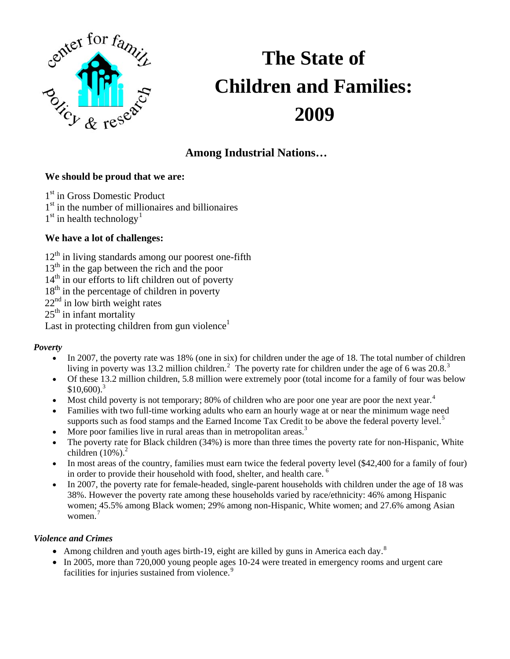

# **The State of Children and Families: 2009**

# **Among Industrial Nations…**

# **We should be proud that we are:**

1<sup>st</sup> in Gross Domestic Product

 $1<sup>st</sup>$  in the number of millionaires and billionaires

 $1<sup>st</sup>$  $1<sup>st</sup>$  in health technology<sup>1</sup>

# **We have a lot of challenges:**

 $12<sup>th</sup>$  in living standards among our poorest one-fifth

13<sup>th</sup> in the gap between the rich and the poor

 $14<sup>th</sup>$  in our efforts to lift children out of poverty

 $18<sup>th</sup>$  in the percentage of children in poverty

 $22<sup>nd</sup>$  in low birth weight rates

 $25<sup>th</sup>$  in infant mortality

Last in protecting children from gun violence<sup>1</sup>

# *Poverty*

- In 2007, the poverty rate was 18% (one in six) for children under the age of 18. The total number of children living in poverty was 13.[2](#page-3-1) million children.<sup>2</sup> The poverty rate for children under the age of 6 was 20.8.<sup>[3](#page-3-1)</sup>
- Of these 13.2 million children, 5.8 million were extremely poor (total income for a family of four was below  $$10,600$ <sup>3</sup>
- Most child poverty is not temporary; 80% of children who are poor one year are poor the next year.<sup>[4](#page-3-1)</sup>
- Families with two full-time working adults who earn an hourly wage at or near the minimum wage need supports such as food stamps and the Earned Income Tax Credit to be above the federal poverty level.<sup>[5](#page-3-1)</sup>
- More poor families live in rural areas than in metropolitan areas. $3$
- The poverty rate for Black children (34%) is more than three times the poverty rate for non-Hispanic, White children  $(10\%)$ .<sup>2</sup>
- In most areas of the country, families must earn twice the federal poverty level (\$42,400 for a family of four) in order to provide their household with food, shelter, and health care. [6](#page-3-1)
- In 2007, the poverty rate for female-headed, single-parent households with children under the age of 18 was 38%. However the poverty rate among these households varied by race/ethnicity: 46% among Hispanic women; 45.5% among Black women; 29% among non-Hispanic, White women; and 27.6% among Asian women<sup>[7](#page-3-1)</sup>

#### *Violence and Crimes*

- Among children and youth ages birth-19, eight are killed by guns in America each day.<sup>[8](#page-3-1)</sup>
- In 2005, more than 720,000 young people ages 10-24 were treated in emergency rooms and urgent care facilities for injuries sustained from violence.<sup>[9](#page-3-1)</sup>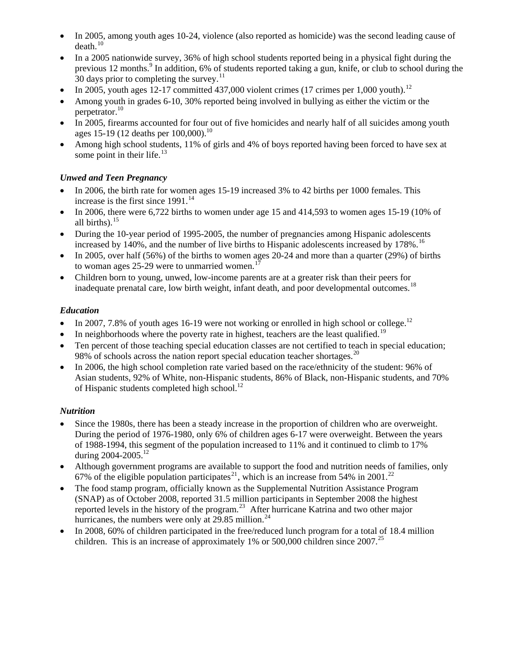- In 2005, among youth ages 10-24, violence (also reported as homicide) was the second leading cause of  $death.<sup>10</sup>$  $death.<sup>10</sup>$  $death.<sup>10</sup>$
- In a 2005 nationwide survey, 36% of high school students reported being in a physical fight during the previous 12 months.<sup>9</sup> In addition, 6% of students reported taking a gun, knife, or club to school during the 30 days prior to completing the survey. $^{11}$  $^{11}$  $^{11}$
- In 2005, youth ages [12](#page-3-1)-17 committed 437,000 violent crimes (17 crimes per 1,000 youth).<sup>12</sup>
- Among youth in grades 6-10, 30% reported being involved in bullying as either the victim or the perpetrator.<sup>10</sup>
- In 2005, firearms accounted for four out of five homicides and nearly half of all suicides among youth ages 15-19 (12 deaths per 100,000).<sup>10</sup>
- Among high school students, 11% of girls and 4% of boys reported having been forced to have sex at some point in their life. $13$

#### *Unwed and Teen Pregnancy*

- In 2006, the birth rate for women ages 15-19 increased 3% to 42 births per 1000 females. This increase is the first since  $1991$ .<sup>[14](#page-3-1)</sup>
- In 2006, there were  $6,722$  births to women under age 15 and  $414,593$  to women ages 15-19 (10% of all births). $15$
- During the 10-year period of 1995-2005, the number of pregnancies among Hispanic adolescents increased by 140%, and the number of live births to Hispanic adolescents increased by 178%.<sup>[16](#page-3-1)</sup>
- In 2005, over half (56%) of the births to women ages 20-24 and more than a quarter (29%) of births to woman ages 25-29 were to unmarried women.<sup>[17](#page-3-1)</sup>
- Children born to young, unwed, low-income parents are at a greater risk than their peers for inadequate prenatal care, low birth weight, infant death, and poor developmental outcomes.<sup>[18](#page-3-1)</sup>

#### *Education*

- In 2007, 7.8% of youth ages 16-19 were not working or enrolled in high school or college.<sup>12</sup>
- In neighborhoods where the poverty rate in highest, teachers are the least qualified.<sup>19</sup>
- Ten percent of those teaching special education classes are not certified to teach in special education; 98% of schools across the nation report special education teacher shortages.<sup>20</sup>
- In 2006, the high school completion rate varied based on the race/ethnicity of the student: 96% of Asian students, 92% of White, non-Hispanic students, 86% of Black, non-Hispanic students, and 70% of Hispanic students completed high school. $^{12}$

#### *Nutrition*

- Since the 1980s, there has been a steady increase in the proportion of children who are overweight. During the period of 1976-1980, only 6% of children ages 6-17 were overweight. Between the years of 1988-1994, this segment of the population increased to 11% and it continued to climb to 17% during 2004-2005.<sup>12</sup>
- Although government programs are available to support the food and nutrition needs of families, only 67% of the eligible population participates<sup>[21](#page-3-1)</sup>, which is an increase from 54% in 2001.<sup>[22](#page-3-1)</sup>
- The food stamp program, officially known as the Supplemental Nutrition Assistance Program (SNAP) as of October 2008, reported 31.5 million participants in September 2008 the highest reported levels in the history of the program.[23](#page-3-1) After hurricane Katrina and two other major hurricanes, the numbers were only at  $29.85$  million.<sup>[24](#page-3-1)</sup>
- In 2008, 60% of children participated in the free/reduced lunch program for a total of 18.4 million children. This is an increase of approximately 1% or 500,000 children since 2007.<sup>[25](#page-3-1)</sup>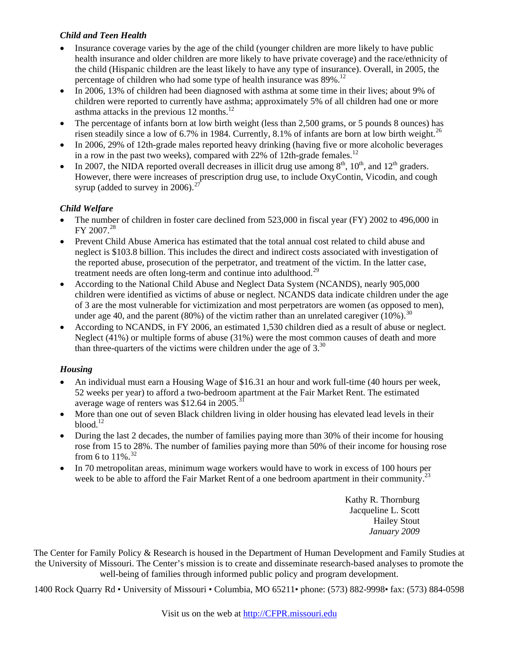#### *Child and Teen Health*

- Insurance coverage varies by the age of the child (younger children are more likely to have public health insurance and older children are more likely to have private coverage) and the race/ethnicity of the child (Hispanic children are the least likely to have any type of insurance). Overall, in 2005, the percentage of children who had some type of health insurance was  $89\%$ .<sup>12</sup>
- In 2006, 13% of children had been diagnosed with asthma at some time in their lives; about 9% of children were reported to currently have asthma; approximately 5% of all children had one or more asthma attacks in the previous  $12$  months.<sup>12</sup>
- The percentage of infants born at low birth weight (less than 2,500 grams, or 5 pounds 8 ounces) has risen steadily since a low of  $6.7\%$  in 1984. Currently,  $8.1\%$  of infants are born at low birth weight.<sup>[26](#page-3-1)</sup>
- In 2006, 29% of 12th-grade males reported heavy drinking (having five or more alcoholic beverages in a row in the past two weeks), compared with  $22\%$  of 12th-grade females.<sup>12</sup>
- In 2007, the NIDA reported overall decreases in illicit drug use among  $8<sup>th</sup>$ ,  $10<sup>th</sup>$ , and  $12<sup>th</sup>$  graders. However, there were increases of prescription drug use, to include OxyContin, Vicodin, and cough syrup (added to survey in 2006).<sup>[27](#page-3-1)</sup>

# *Child Welfare*

- The number of children in foster care declined from 523,000 in fiscal year (FY) 2002 to 496,000 in  $FY$  2007.<sup>[28](#page-3-1)</sup>
- Prevent Child Abuse America has estimated that the total annual cost related to child abuse and neglect is \$103.8 billion. This includes the direct and indirect costs associated with investigation of the reported abuse, prosecution of the perpetrator, and treatment of the victim. In the latter case, treatment needs are often long-term and continue into adulthood.<sup>[29](#page-3-1)</sup>
- According to the National Child Abuse and Neglect Data System (NCANDS), nearly 905,000 children were identified as victims of abuse or neglect. NCANDS data indicate children under the age of 3 are the most vulnerable for victimization and most perpetrators are women (as opposed to men), under age 40, and the parent (80%) of the victim rather than an unrelated caregiver ( $10\%$ ).<sup>[30](#page-3-1)</sup>
- According to NCANDS, in FY 2006, an estimated 1,530 children died as a result of abuse or neglect. Neglect (41%) or multiple forms of abuse (31%) were the most common causes of death and more than three-quarters of the victims were children under the age of  $3<sup>30</sup>$

# *Housing*

- An individual must earn a Housing Wage of \$16.31 an hour and work full-time (40 hours per week, 52 weeks per year) to afford a two-bedroom apartment at the Fair Market Rent. The estimated average wage of renters was \$12.64 in 2005.<sup>3</sup>
- More than one out of seven Black children living in older housing has elevated lead levels in their blood $12$
- During the last 2 decades, the number of families paying more than 30% of their income for housing rose from 15 to 28%. The number of families paying more than 50% of their income for housing rose from 6 to  $11\%$ .<sup>[32](#page-4-0)</sup>
- In 70 metropolitan areas, minimum wage workers would have to work in excess of 100 hours per week to be able to afford the Fair Market Rent of a one bedroom apartment in their community.<sup>23</sup>

Kathy R. Thornburg Jacqueline L. Scott Hailey Stout *January 2009* 

The Center for Family Policy & Research is housed in the Department of Human Development and Family Studies at the University of Missouri. The Center's mission is to create and disseminate research-based analyses to promote the well-being of families through informed public policy and program development.

1400 Rock Quarry Rd • University of Missouri • Columbia, MO 65211• phone: (573) 882-9998• fax: (573) 884-0598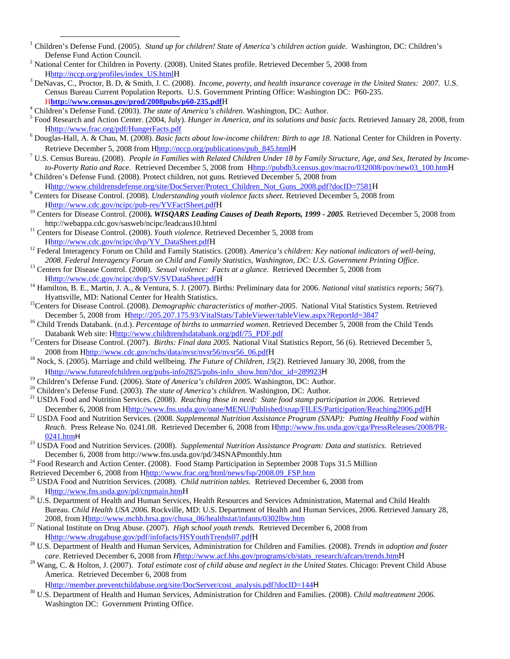- <span id="page-3-0"></span><sup>1</sup> Children's Defense Fund. (2005). *Stand up for children! State of America's children action guide*. Washington, DC: Children's Defense Fund Action Council. <sup>2</sup>
- <sup>2</sup> National Center for Children in Poverty. (2008). United States profile. Retrieved December 5, 2008 from Hhttp://nccp.org/profiles/index\_US.htmlH 3
- DeNavas, C., Proctor, B. D, & Smith, J. C. (2008). *Income, poverty, and health insurance coverage in the United States: 2007*. U.S. Census Bureau Current Population Reports. U.S. Government Printing Office: Washington DC: P60-235. <sup>H</sup>**http://www.census.gov/prod/2008pubs/p60-235.pdf**<sup>H</sup> <sup>4</sup>
- <sup>4</sup> Children's Defense Fund. (2003). *The state of America's children*. Washington, DC: Author.
- Food Research and Action Center. (2004, July). *Hunger in America, and its solutions and basic facts.* Retrieved January 28, 2008, from Hhttp://www.frac.org/pdf/HungerFacts.pdf <sup>6</sup>
- Douglas-Hall, A. & Chau, M. (2008). *Basic facts about low-income children: Birth to age 18*. National Center for Children in Poverty. Retrieve December 5, 2008 from Hhttp://nccp.org/publications/pub\_845.htmlH
- U.S. Census Bureau. (2008). *People in Families with Related Children Under 18 by Family Structure, Age, and Sex, Iterated by Incometo-Poverty Ratio and Race.* Retrieved December 5, 2008 from Hhttp://pubdb3.census.gov/macro/032008/pov/new03\_100.htmH 8
- Children's Defense Fund. (2008). Protect children, not guns*.* Retrieved December 5, 2008 from Hhttp://www.childrensdefense.org/site/DocServer/Protect\_Children\_Not\_Guns\_2008.pdf?docID=7581H 9
- <span id="page-3-1"></span>Centers for Disease Control. (2008). *Understanding youth violence facts sheet.* Retrieved December 5, 2008 from
- Hhttp://www.cdc.gov/ncipc/pub-res/YVFactSheet.pdfH 10 Centers for Disease Control. (2008**).** *WISQARS Leading Causes of Death Reports, 1999 2005.* Retrieved December 5, 2008 from http://webappa.cdc.gov/sasweb/ncipc/leadcaus10.html 11 Centers for Disease Control. (2008). *Youth violence.* Retrieved December 5, 2008 from
- 
- Hhttp://www.cdc.gov/ncipc/dvp/YV\_DataSheet.pdfH<br><sup>12</sup> Federal Interagency Forum on Child and Family Statistics. (2008). *America's children: Key national indicators of well-being,*<br>2008. Federal Interagency Forum on Child a
- $^{13}$  Centers for Disease Control. (2008). Sexual violence: Facts at a glance. Retrieved December 5, 2008 from
- Hhttp://www.cdc.gov/ncipc/dvp/SV/SVDataSheet.pdfH 14 Hamilton, B. E., Martin, J. A., & Ventura, S. J. (2007). Births: Preliminary data for 2006. *National vital statistics reports; 56(*7).
- <sup>15</sup>Centers for Disease Control. (2008). *Demographic characteristics of mother-2005*. National Vital Statistics System. Retrieved<br>December 5, 2008 from Hhttp://205.207.175.93/VitalStats/TableViewer/tableView.aspx?ReportId
- <sup>16</sup> Child Trends Databank. (n.d.). Percentage of births to unmarried women. Retrieved December 5, 2008 from the Child Tends Databank Web site: Hhttp://www.childtrendsdatabank.org/pdf/75\_PDF.pdf<br><sup>17</sup>Centers for Disease Control. (2007). *Births: Final data 2005*. National Vital Statistics Report, 56 (6). Retrieved December 5,
- <sup>18</sup> Nock, S. (2005). Marriage and child wellbeing. *The Future of Children, 15*(2). Retrieved January 30, 2008, from the
- 
- 
- 
- Hhttp://www.futureofchildren.org/pubs-info2825/pubs-info show.htm?doc\_id=289923H<br><sup>19</sup> Children's Defense Fund. (2006). *State of America's children 2005*. Washington, DC: Author.<br><sup>20</sup> Children's Defense Fund. (2003). *The*
- December 6, 2008 from Hhttp://www.fns.usda.gov/oane/MENU/Published/snap/FILES/Participation/Reaching2006.pdfH<br><sup>22</sup> USDA Food and Nutrition Services. (2008. Supplemental Nutrition Assistance Program (SNAP): Putting Healthy *Reach.* Press Release No. 0241.08. Retrieved December 6, 2008 from Hhttp://www.fns.usda.gov/cga/PressReleases/2008/PR-
- 0241.htmH 23 USDA Food and Nutrition Services. (2008). *Supplemental Nutrition Assistance Program: Data and statistics*. Retrieved
- December 6, 2008 from http://www.fns.usda.gov/pd/34SNAPmonthly.htm <sup>24</sup> Food Research and Action Center. (2008). Food Stamp Participation in September 2008 Tops 31.5 Million Retrieved December 6, 2008 from Hhttp://www.frac
- USDA Food and Nutrition Services. (2008). *Child nutrition tables.* Retrieved December 6, 2008 from
- Hhttp://www.fns.usda.gov/pd/cnpmain.htmH 26 U.S. Department of Health and Human Services, Health Resources and Services Administration, Maternal and Child Health Bureau. *Child Health USA 2006.* Rockville, MD: U.S. Department of Health and Human Services, 2006. Retrieved January 28, 2008, from Hhttp://www.mchb.hrsa.gov/chusa\_06/healthstat/infants/0302lbw.htm 27 National Institute on Drug Abuse. (2007). *High school youth trends.* Retrieved December 6, 2008 from
- 
- Hhttp://www.drugabuse.gov/pdf/infofacts/HSYouthTrends07.pdfH28 U.S. Department of Health and Human Services, Administration for Children and Families. (2008). *Trends in adoption and foster*  care. Retrieved December 6, 2008 from *H*http://www.acf.hhs.gov/programs/cb/stats\_research/afcars/trends.htm H<br><sup>29</sup> Wang, C. & Holton, J. (2007). *Total estimate cost of child abuse and neglect in the United States*. Chica
- America. Retrieved December 6, 2008 from

Hhttp://member.preventchildabuse.org/site/DocServer/cost\_analysis.pdf?docID=144<sup>H</sup> 30 U.S. Department of Health and Human Services, Administration for Children and Families. (2008). C*hild maltreatment 2006.*  Washington DC: Government Printing Office.